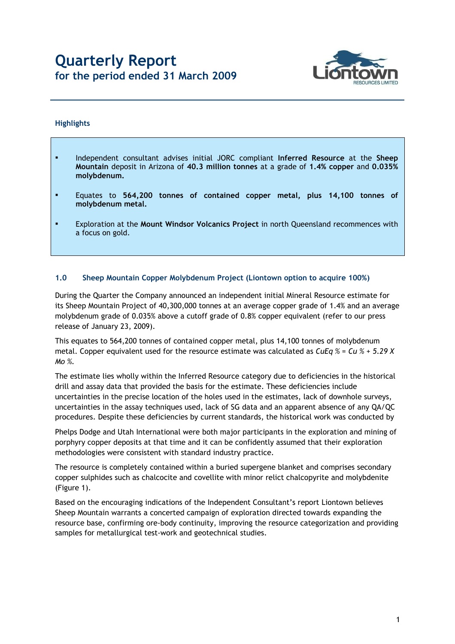# **Quarterly Report for the period ended 31 March 2009**



#### **Highlights**

- Independent consultant advises initial JORC compliant **Inferred Resource** at the **Sheep Mountain** deposit in Arizona of **40.3 million tonnes** at a grade of **1.4% copper** and **0.035% molybdenum.**
- Equates to **564,200 tonnes of contained copper metal, plus 14,100 tonnes of molybdenum metal.**
- Exploration at the **Mount Windsor Volcanics Project** in north Queensland recommences with a focus on gold.

#### **1.0 Sheep Mountain Copper Molybdenum Project (Liontown option to acquire 100%)**

During the Quarter the Company announced an independent initial Mineral Resource estimate for its Sheep Mountain Project of 40,300,000 tonnes at an average copper grade of 1.4% and an average molybdenum grade of 0.035% above a cutoff grade of 0.8% copper equivalent (refer to our press release of January 23, 2009).

This equates to 564,200 tonnes of contained copper metal, plus 14,100 tonnes of molybdenum metal. Copper equivalent used for the resource estimate was calculated as *CuEq % = Cu % + 5.29 X Mo %.*

The estimate lies wholly within the Inferred Resource category due to deficiencies in the historical drill and assay data that provided the basis for the estimate. These deficiencies include uncertainties in the precise location of the holes used in the estimates, lack of downhole surveys, uncertainties in the assay techniques used, lack of SG data and an apparent absence of any QA/QC procedures. Despite these deficiencies by current standards, the historical work was conducted by

Phelps Dodge and Utah International were both major participants in the exploration and mining of porphyry copper deposits at that time and it can be confidently assumed that their exploration methodologies were consistent with standard industry practice.

The resource is completely contained within a buried supergene blanket and comprises secondary copper sulphides such as chalcocite and covellite with minor relict chalcopyrite and molybdenite (Figure 1).

Based on the encouraging indications of the Independent Consultant's report Liontown believes Sheep Mountain warrants a concerted campaign of exploration directed towards expanding the resource base, confirming ore-body continuity, improving the resource categorization and providing samples for metallurgical test-work and geotechnical studies.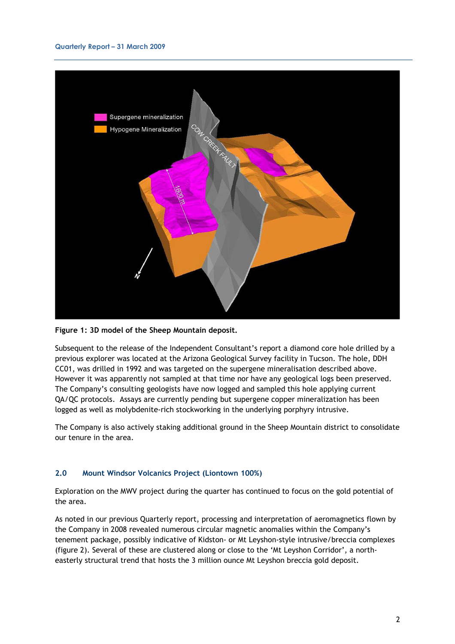

**Figure 1: 3D model of the Sheep Mountain deposit.** 

Subsequent to the release of the Independent Consultant's report a diamond core hole drilled by a previous explorer was located at the Arizona Geological Survey facility in Tucson. The hole, DDH CC01, was drilled in 1992 and was targeted on the supergene mineralisation described above. However it was apparently not sampled at that time nor have any geological logs been preserved. The Company's consulting geologists have now logged and sampled this hole applying current QA/QC protocols. Assays are currently pending but supergene copper mineralization has been logged as well as molybdenite-rich stockworking in the underlying porphyry intrusive.

The Company is also actively staking additional ground in the Sheep Mountain district to consolidate our tenure in the area.

#### **2.0 Mount Windsor Volcanics Project (Liontown 100%)**

Exploration on the MWV project during the quarter has continued to focus on the gold potential of the area.

As noted in our previous Quarterly report, processing and interpretation of aeromagnetics flown by the Company in 2008 revealed numerous circular magnetic anomalies within the Company's tenement package, possibly indicative of Kidston- or Mt Leyshon-style intrusive/breccia complexes (figure 2). Several of these are clustered along or close to the 'Mt Leyshon Corridor', a northeasterly structural trend that hosts the 3 million ounce Mt Leyshon breccia gold deposit.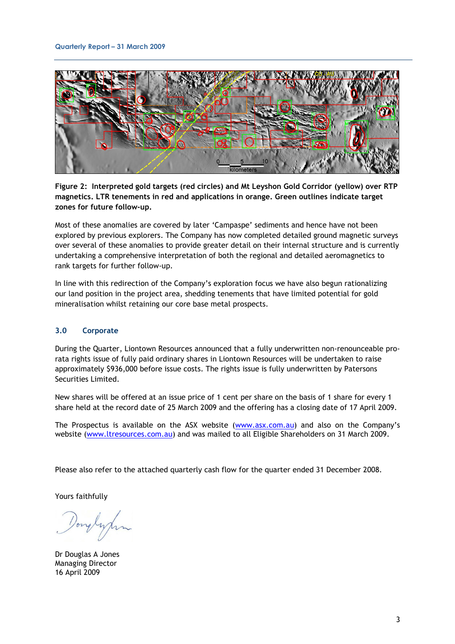

**Figure 2: Interpreted gold targets (red circles) and Mt Leyshon Gold Corridor (yellow) over RTP magnetics. LTR tenements in red and applications in orange. Green outlines indicate target zones for future follow-up.** 

Most of these anomalies are covered by later 'Campaspe' sediments and hence have not been explored by previous explorers. The Company has now completed detailed ground magnetic surveys over several of these anomalies to provide greater detail on their internal structure and is currently undertaking a comprehensive interpretation of both the regional and detailed aeromagnetics to rank targets for further follow-up.

In line with this redirection of the Company's exploration focus we have also begun rationalizing our land position in the project area, shedding tenements that have limited potential for gold mineralisation whilst retaining our core base metal prospects.

#### **3.0 Corporate**

During the Quarter, Liontown Resources announced that a fully underwritten non-renounceable prorata rights issue of fully paid ordinary shares in Liontown Resources will be undertaken to raise approximately \$936,000 before issue costs. The rights issue is fully underwritten by Patersons Securities Limited.

New shares will be offered at an issue price of 1 cent per share on the basis of 1 share for every 1 share held at the record date of 25 March 2009 and the offering has a closing date of 17 April 2009.

The Prospectus is available on the ASX website (www.asx.com.au) and also on the Company's website (www.ltresources.com.au) and was mailed to all Eligible Shareholders on 31 March 2009.

Please also refer to the attached quarterly cash flow for the quarter ended 31 December 2008.

Yours faithfully

onglypin

Dr Douglas A Jones Managing Director 16 April 2009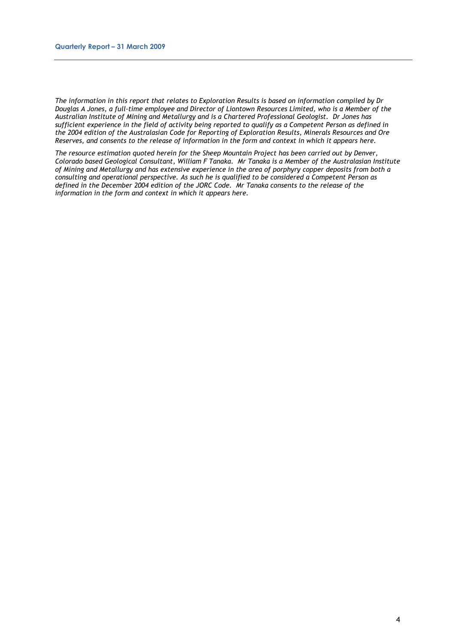*The information in this report that relates to Exploration Results is based on information compiled by Dr Douglas A Jones, a full-time employee and Director of Liontown Resources Limited, who is a Member of the Australian Institute of Mining and Metallurgy and is a Chartered Professional Geologist. Dr Jones has sufficient experience in the field of activity being reported to qualify as a Competent Person as defined in the 2004 edition of the Australasian Code for Reporting of Exploration Results, Minerals Resources and Ore Reserves, and consents to the release of information in the form and context in which it appears here.* 

*The resource estimation quoted herein for the Sheep Mountain Project has been carried out by Denver, Colorado based Geological Consultant, William F Tanaka. Mr Tanaka is a Member of the Australasian Institute of Mining and Metallurgy and has extensive experience in the area of porphyry copper deposits from both a consulting and operational perspective. As such he is qualified to be considered a Competent Person as defined in the December 2004 edition of the JORC Code. Mr Tanaka consents to the release of the information in the form and context in which it appears here.*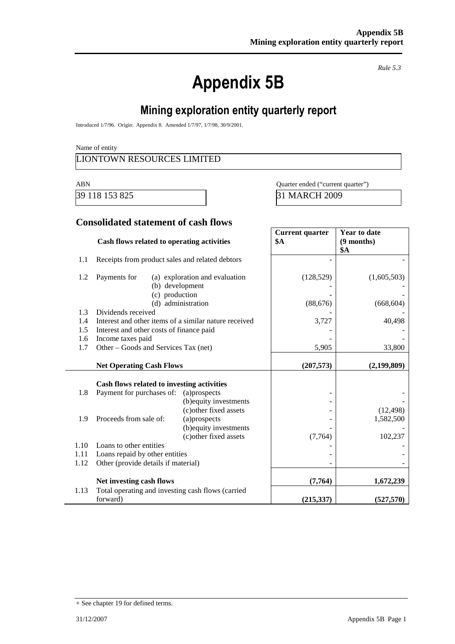# **Appendix 5B**

*Rule 5.3*

# **Mining exploration entity quarterly report**

Introduced 1/7/96. Origin: Appendix 8. Amended 1/7/97, 1/7/98, 30/9/2001.

Name of entity

### LIONTOWN RESOURCES LIMITED

39 118 153 825 31 MARCH 2009

ABN Quarter ended ("current quarter")

### **Consolidated statement of cash flows**

|            | Cash flows related to operating activities                                  |                                                   | <b>Current quarter</b><br>\$A | <b>Year to date</b><br>$(9$ months)<br><b>\$A</b> |
|------------|-----------------------------------------------------------------------------|---------------------------------------------------|-------------------------------|---------------------------------------------------|
| 1.1        | Receipts from product sales and related debtors                             |                                                   |                               |                                                   |
| 1.2        | Payments for<br>(c) production                                              | (a) exploration and evaluation<br>(b) development | (128, 529)                    | (1,605,503)                                       |
|            | (d)                                                                         | administration                                    | (88, 676)                     | (668, 604)                                        |
| 1.3<br>1.4 | Dividends received<br>Interest and other items of a similar nature received |                                                   |                               |                                                   |
| 1.5        | Interest and other costs of finance paid                                    |                                                   | 3,727                         | 40,498                                            |
| 1.6        | Income taxes paid                                                           |                                                   |                               |                                                   |
| 1.7        | Other – Goods and Services Tax (net)                                        |                                                   | 5,905                         | 33,800                                            |
|            |                                                                             |                                                   |                               |                                                   |
|            | <b>Net Operating Cash Flows</b>                                             |                                                   | (207, 573)                    | (2,199,809)                                       |
|            | Cash flows related to investing activities                                  |                                                   |                               |                                                   |
| 1.8        | Payment for purchases of:                                                   | (a) prospects<br>(b) equity investments           |                               |                                                   |
| 1.9        | Proceeds from sale of:                                                      | (c) other fixed assets<br>(a)prospects            |                               | (12, 498)<br>1,582,500                            |
|            |                                                                             | (b) equity investments<br>(c) other fixed assets  | (7,764)                       | 102,237                                           |
| 1.10       | Loans to other entities                                                     |                                                   |                               |                                                   |
| 1.11       | Loans repaid by other entities                                              |                                                   |                               |                                                   |
| 1.12       | Other (provide details if material)                                         |                                                   |                               |                                                   |
|            | Net investing cash flows                                                    |                                                   | (7,764)                       | 1,672,239                                         |
| 1.13       | Total operating and investing cash flows (carried<br>forward)               |                                                   | (215, 337)                    | (527, 570)                                        |

<sup>+</sup> See chapter 19 for defined terms.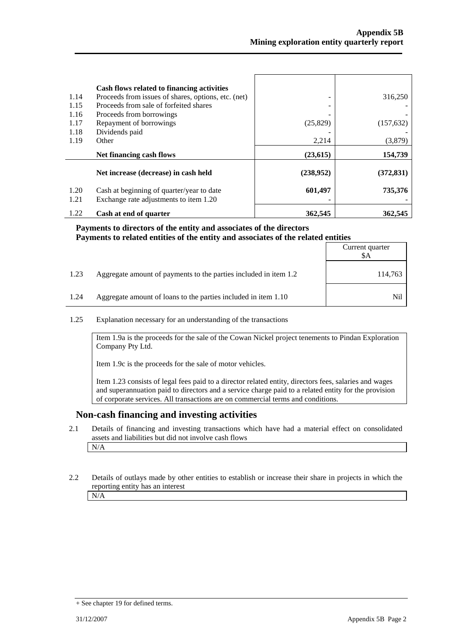|              | Cash flows related to financing activities                                          |           |            |
|--------------|-------------------------------------------------------------------------------------|-----------|------------|
| 1.14         | Proceeds from issues of shares, options, etc. (net)                                 |           | 316,250    |
| 1.15         | Proceeds from sale of forfeited shares                                              |           |            |
| 1.16         | Proceeds from borrowings                                                            |           |            |
| 1.17         | Repayment of borrowings                                                             | (25, 829) | (157, 632) |
| 1.18         | Dividends paid                                                                      |           |            |
| 1.19         | Other                                                                               | 2,214     | (3,879)    |
|              |                                                                                     |           |            |
|              | Net financing cash flows                                                            | (23, 615) | 154,739    |
|              | Net increase (decrease) in cash held                                                | (238,952) | (372, 831) |
|              |                                                                                     |           |            |
| 1.20<br>1.21 | Cash at beginning of quarter/year to date<br>Exchange rate adjustments to item 1.20 | 601,497   | 735,376    |

#### **Payments to directors of the entity and associates of the directors Payments to related entities of the entity and associates of the related entities**

|      |                                                                  | Current quarter<br>SΑ |
|------|------------------------------------------------------------------|-----------------------|
| 1.23 | Aggregate amount of payments to the parties included in item 1.2 | 114,763               |
| 1.24 | Aggregate amount of loans to the parties included in item 1.10   | Nil                   |

#### 1.25 Explanation necessary for an understanding of the transactions

Item 1.9a is the proceeds for the sale of the Cowan Nickel project tenements to Pindan Exploration Company Pty Ltd.

Item 1.9c is the proceeds for the sale of motor vehicles.

Item 1.23 consists of legal fees paid to a director related entity, directors fees, salaries and wages and superannuation paid to directors and a service charge paid to a related entity for the provision of corporate services. All transactions are on commercial terms and conditions.

#### **Non-cash financing and investing activities**

- 2.1 Details of financing and investing transactions which have had a material effect on consolidated assets and liabilities but did not involve cash flows N/A
- 2.2 Details of outlays made by other entities to establish or increase their share in projects in which the reporting entity has an interest N/A

Ē

<sup>+</sup> See chapter 19 for defined terms.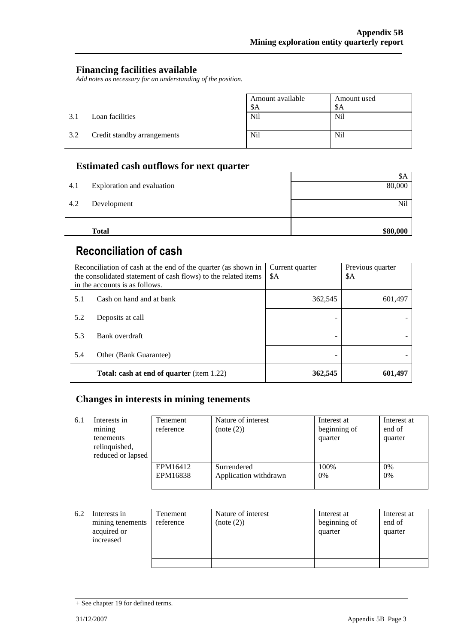### **Financing facilities available**

*Add notes as necessary for an understanding of the position.*

|     |                             | Amount available | Amount used     |
|-----|-----------------------------|------------------|-----------------|
|     |                             | \$Α              | \$A             |
| 3.1 | Loan facilities             | Nil              | N <sub>il</sub> |
| 3.2 | Credit standby arrangements | N <sub>i</sub>   | Nil             |

### **Estimated cash outflows for next quarter**

|     | <b>Total</b>               | \$80,000 |
|-----|----------------------------|----------|
|     |                            |          |
| 4.2 | Development                | Nil      |
| 4.1 | Exploration and evaluation | 80,000   |
|     |                            | ФA       |

# **Reconciliation of cash**

| Reconciliation of cash at the end of the quarter (as shown in<br>the consolidated statement of cash flows) to the related items<br>in the accounts is as follows. |                                                  | Current quarter<br>\$A | Previous quarter<br>\$A |
|-------------------------------------------------------------------------------------------------------------------------------------------------------------------|--------------------------------------------------|------------------------|-------------------------|
| 5.1                                                                                                                                                               | Cash on hand and at bank                         | 362,545                | 601,497                 |
| 5.2                                                                                                                                                               | Deposits at call                                 |                        |                         |
| 5.3                                                                                                                                                               | Bank overdraft                                   |                        |                         |
| 5.4                                                                                                                                                               | Other (Bank Guarantee)                           |                        |                         |
|                                                                                                                                                                   | <b>Total: cash at end of quarter</b> (item 1.22) | 362,545                | 601.497                 |

### **Changes in interests in mining tenements**

| 6.1 | Interests in<br>mining<br>tenements<br>relinquished,<br>reduced or lapsed | <b>Tenement</b><br>reference | Nature of interest<br>(note (2))     | Interest at<br>beginning of<br>quarter | Interest at<br>end of<br>quarter |
|-----|---------------------------------------------------------------------------|------------------------------|--------------------------------------|----------------------------------------|----------------------------------|
|     |                                                                           | EPM16412<br>EPM16838         | Surrendered<br>Application withdrawn | 100%<br>0%                             | 0%<br>0%                         |

| 6.2 | Interests in<br>mining tenements<br>acquired or<br>increased | Tenement<br>reference | Nature of interest<br>(note (2)) | Interest at<br>beginning of<br>quarter | Interest at<br>end of<br>quarter |
|-----|--------------------------------------------------------------|-----------------------|----------------------------------|----------------------------------------|----------------------------------|
|     |                                                              |                       |                                  |                                        |                                  |

<sup>+</sup> See chapter 19 for defined terms.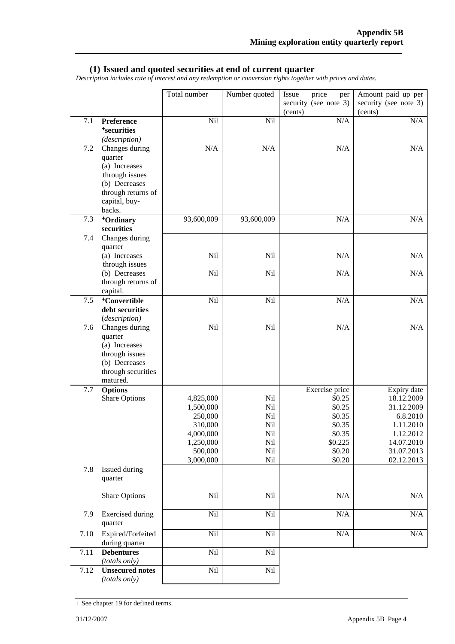#### **(1) Issued and quoted securities at end of current quarter**

*Description includes rate of interest and any redemption or conversion rights together with prices and dates.*

|         |                                                                                                                 | Total number         | Number quoted | price<br>Issue<br>per<br>security (see note 3) | Amount paid up per<br>security (see note 3) |
|---------|-----------------------------------------------------------------------------------------------------------------|----------------------|---------------|------------------------------------------------|---------------------------------------------|
|         |                                                                                                                 |                      |               | (cents)                                        | (cents)                                     |
| 7.1     | Preference<br><sup>+</sup> securities<br>(description)                                                          | Nil                  | Nil           | N/A                                            | $\rm N/A$                                   |
| $7.2\,$ | Changes during<br>quarter                                                                                       | N/A                  | N/A           | N/A                                            | $\rm N/A$                                   |
|         | (a) Increases<br>through issues<br>(b) Decreases<br>through returns of<br>capital, buy-<br>backs.               |                      |               |                                                |                                             |
| 7.3     | +Ordinary<br>securities                                                                                         | 93,600,009           | 93,600,009    | N/A                                            | N/A                                         |
| 7.4     | Changes during<br>quarter<br>(a) Increases                                                                      | <b>Nil</b>           | Nil           | N/A                                            | N/A                                         |
|         | through issues<br>(b) Decreases                                                                                 | Nil                  | Nil           | N/A                                            | N/A                                         |
|         | through returns of<br>capital.                                                                                  |                      |               |                                                |                                             |
| 7.5     | <sup>+</sup> Convertible<br>debt securities<br>(description)                                                    | Nil                  | Nil           | N/A                                            | N/A                                         |
| 7.6     | Changes during<br>quarter<br>(a) Increases<br>through issues<br>(b) Decreases<br>through securities<br>matured. | Nil                  | Nil           | N/A                                            | N/A                                         |
| 7.7     | <b>Options</b><br><b>Share Options</b>                                                                          | 4,825,000            | Nil           | Exercise price<br>\$0.25                       | Expiry date<br>18.12.2009                   |
|         |                                                                                                                 | 1,500,000            | Nil           | \$0.25                                         | 31.12.2009                                  |
|         |                                                                                                                 | 250,000              | Nil           | \$0.35                                         | 6.8.2010                                    |
|         |                                                                                                                 | 310,000<br>4,000,000 | Nil<br>Nil    | \$0.35<br>\$0.35                               | 1.11.2010<br>1.12.2012                      |
|         |                                                                                                                 | 1,250,000            | Nil           | \$0.225                                        | 14.07.2010                                  |
|         |                                                                                                                 | 500,000              | Nil           | \$0.20                                         | 31.07.2013                                  |
|         |                                                                                                                 | 3,000,000            | Nil           | \$0.20                                         | 02.12.2013                                  |
| 7.8     | Issued during<br>quarter                                                                                        |                      |               |                                                |                                             |
|         | <b>Share Options</b>                                                                                            | Nil                  | Nil           | N/A                                            | N/A                                         |
| 7.9     | <b>Exercised</b> during<br>quarter                                                                              | Nil                  | Nil           | $\rm N/A$                                      | $\rm N/A$                                   |
| 7.10    | Expired/Forfeited<br>during quarter                                                                             | Nil                  | Nil           | $\rm N/A$                                      | $\rm N/A$                                   |
| 7.11    | <b>Debentures</b><br>(totals only)                                                                              | Nil                  | Nil           |                                                |                                             |
| 7.12    | <b>Unsecured notes</b><br>(totals only)                                                                         | Nil                  | Nil           |                                                |                                             |

<sup>+</sup> See chapter 19 for defined terms.